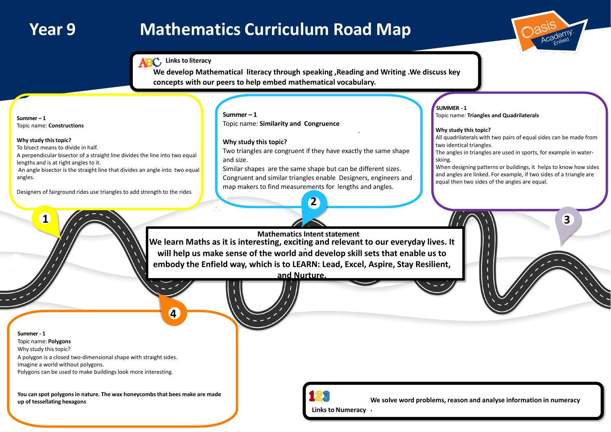

# **Year 9 Mathematics Curriculum Road Map**

**Summer - 1** Topic name: **Polygons** Why study this topic? A polygon is a closed two-dimensional shape with straight sides. Imagine a world without polygons. Polygons can be used to make buildings look more interesting.

**You can spot polygons in nature. The wax honeycombs that bees make are made up of tessellating hexagons**





**SUMMER - 1**

## Topic name: **Triangles and Quadrilaterals**

#### **Why study this topic?**

All quadrilaterals with two pairs of equal sides can be made from two identical triangles.

The angles in triangles are used in sports, for example in water-

skiing.

When designing patterns or buildings, it helps to know how sides and angles are linked. For example, if two sides of a triangle are equal then two sides of the angles are equal.

**Summer – 1** Topic name: **Constructions**

**Why study thistopic?**

To bisect means to divide in half.

A perpendicular bisector of a straight line divides the line into two equal lengths and is at right angles to it.

> **Mathematics Intent statement . We learn Maths as it is interesting, exciting and relevant to our everyday lives. It will help us make sense of the world and develop skill sets that enable us to embody the Enfield way, which is to LEARN: Lead, Excel, Aspire, Stay Resilient,**

An angle bisector is the straight line that divides an angle into two equal angles.

Designers of fairground rides use triangles to add strength to the rides

**Links to Numeracy .**



**1**

**4**

**Summer – 1** Topic name: **Similarity and Congruence**

### **Why study this topic?**

Two triangles are congruent if they have exactly the same shape and size.

Similar shapes are the same shape but can be different sizes. Congruent and similar triangles enable Designers, engineers and map makers to find measurements for lengths and angles.

**2**

**We develop Mathematical literacy through speaking ,Reading and Writing .We discuss key concepts with our peers to help embed mathematical vocabulary.**



**and Nurture.**